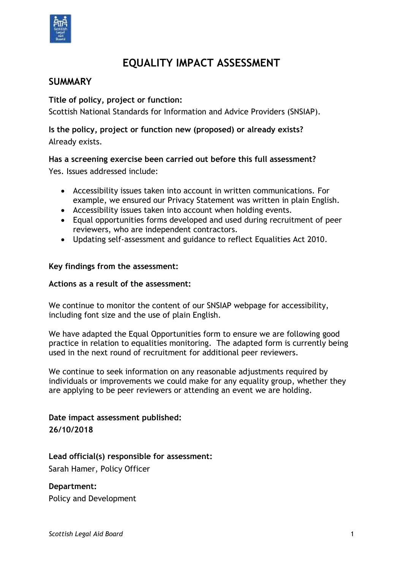

# **EQUALITY IMPACT ASSESSMENT**

# **SUMMARY**

**Title of policy, project or function:**

Scottish National Standards for Information and Advice Providers (SNSIAP).

# **Is the policy, project or function new (proposed) or already exists?**  Already exists.

## **Has a screening exercise been carried out before this full assessment?**

Yes. Issues addressed include:

- Accessibility issues taken into account in written communications. For example, we ensured our Privacy Statement was written in plain English.
- Accessibility issues taken into account when holding events.
- Equal opportunities forms developed and used during recruitment of peer reviewers, who are independent contractors.
- Updating self-assessment and guidance to reflect Equalities Act 2010.

#### **Key findings from the assessment:**

#### **Actions as a result of the assessment:**

We continue to monitor the content of our SNSIAP webpage for accessibility, including font size and the use of plain English.

We have adapted the Equal Opportunities form to ensure we are following good practice in relation to equalities monitoring. The adapted form is currently being used in the next round of recruitment for additional peer reviewers.

We continue to seek information on any reasonable adjustments required by individuals or improvements we could make for any equality group, whether they are applying to be peer reviewers or attending an event we are holding.

# **Date impact assessment published: 26/10/2018**

## **Lead official(s) responsible for assessment:**

Sarah Hamer, Policy Officer

## **Department:**

Policy and Development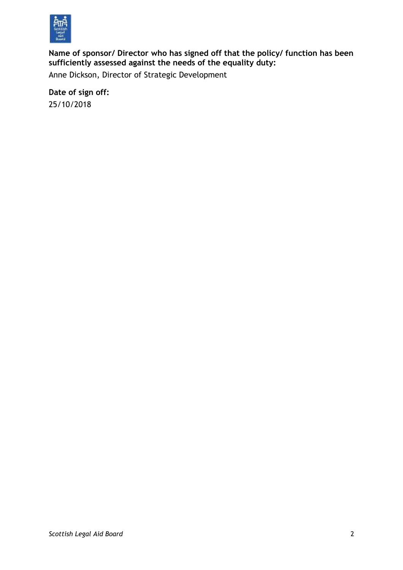

**Name of sponsor/ Director who has signed off that the policy/ function has been sufficiently assessed against the needs of the equality duty:**

Anne Dickson, Director of Strategic Development

**Date of sign off:** 25/10/2018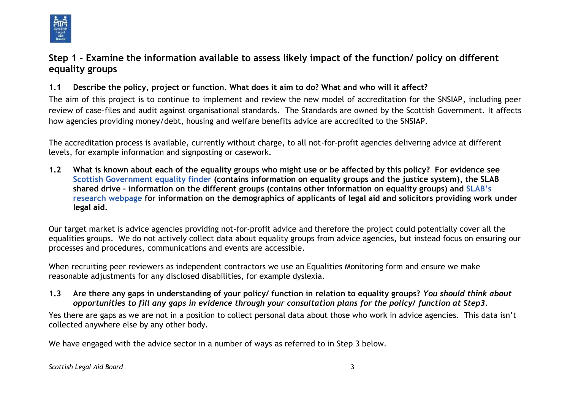

# **Step 1 - Examine the information available to assess likely impact of the function/ policy on different equality groups**

## **1.1 Describe the policy, project or function. What does it aim to do? What and who will it affect?**

The aim of this project is to continue to implement and review the new model of accreditation for the SNSIAP, including peer review of case-files and audit against organisational standards. The Standards are owned by the Scottish Government. It affects how agencies providing money/debt, housing and welfare benefits advice are accredited to the SNSIAP.

The accreditation process is available, currently without charge, to all not-for-profit agencies delivering advice at different levels, for example information and signposting or casework.

**1.2 What is known about each of the equality groups who might use or be affected by this policy? For evidence see [Scottish Government equality finder](http://www.scotland.gov.uk/Topics/People/Equality/Equalities/DataGrid) (contains information on equality groups and the justice system), the [SLAB](file://///cifssata/Common/Common/Shared/Equalities/Equality%20information/The%20different%20equality%20groups)  [shared drive](file://///cifssata/Common/Common/Shared/Equalities/Equality%20information/The%20different%20equality%20groups) – information on the different groups (contains other information on equality groups) and [SLAB's](http://www.slab.org.uk/about-us/what-we-do/research/index.html)  [research webpage](http://www.slab.org.uk/about-us/what-we-do/research/index.html) for information on the demographics of applicants of legal aid and solicitors providing work under legal aid.**

Our target market is advice agencies providing not-for-profit advice and therefore the project could potentially cover all the equalities groups. We do not actively collect data about equality groups from advice agencies, but instead focus on ensuring our processes and procedures, communications and events are accessible.

When recruiting peer reviewers as independent contractors we use an Equalities Monitoring form and ensure we make reasonable adjustments for any disclosed disabilities, for example dyslexia.

### **1.3 Are there any gaps in understanding of your policy/ function in relation to equality groups?** *You should think about opportunities to fill any gaps in evidence through your consultation plans for the policy/ function at Step3.*

Yes there are gaps as we are not in a position to collect personal data about those who work in advice agencies. This data isn't collected anywhere else by any other body.

We have engaged with the advice sector in a number of ways as referred to in Step 3 below.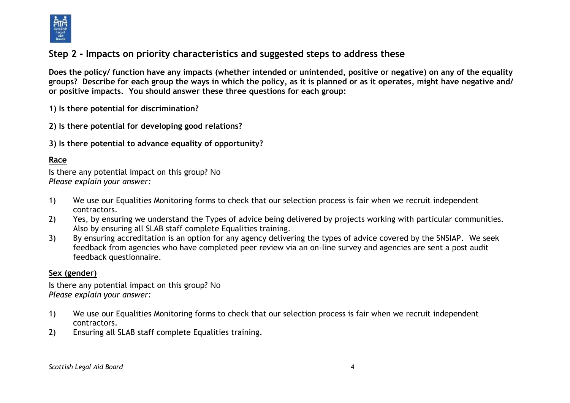

# **Step 2 - Impacts on priority characteristics and suggested steps to address these**

**Does the policy/ function have any impacts (whether intended or unintended, positive or negative) on any of the equality groups? Describe for each group the ways in which the policy, as it is planned or as it operates, might have negative and/ or positive impacts. You should answer these three questions for each group:** 

**1) Is there potential for discrimination?** 

**2) Is there potential for developing good relations?**

**3) Is there potential to advance equality of opportunity?**

## **Race**

Is there any potential impact on this group? No *Please explain your answer:*

- 1) We use our Equalities Monitoring forms to check that our selection process is fair when we recruit independent contractors.
- 2) Yes, by ensuring we understand the Types of advice being delivered by projects working with particular communities. Also by ensuring all SLAB staff complete Equalities training.
- 3) By ensuring accreditation is an option for any agency delivering the types of advice covered by the SNSIAP. We seek feedback from agencies who have completed peer review via an on-line survey and agencies are sent a post audit feedback questionnaire.

### **Sex (gender)**

Is there any potential impact on this group? No *Please explain your answer:*

- 1) We use our Equalities Monitoring forms to check that our selection process is fair when we recruit independent contractors.
- 2) Ensuring all SLAB staff complete Equalities training.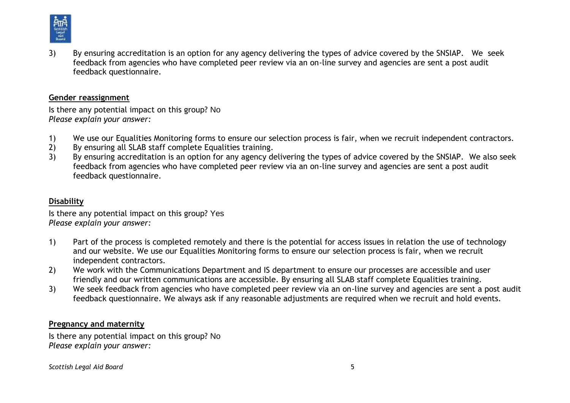

3) By ensuring accreditation is an option for any agency delivering the types of advice covered by the SNSIAP. We seek feedback from agencies who have completed peer review via an on-line survey and agencies are sent a post audit feedback questionnaire.

#### **Gender reassignment**

Is there any potential impact on this group? No *Please explain your answer:*

- 1) We use our Equalities Monitoring forms to ensure our selection process is fair, when we recruit independent contractors.
- 2) By ensuring all SLAB staff complete Equalities training.
- 3) By ensuring accreditation is an option for any agency delivering the types of advice covered by the SNSIAP. We also seek feedback from agencies who have completed peer review via an on-line survey and agencies are sent a post audit feedback questionnaire.

## **Disability**

Is there any potential impact on this group? Yes *Please explain your answer:*

- 1) Part of the process is completed remotely and there is the potential for access issues in relation the use of technology and our website. We use our Equalities Monitoring forms to ensure our selection process is fair, when we recruit independent contractors.
- 2) We work with the Communications Department and IS department to ensure our processes are accessible and user friendly and our written communications are accessible. By ensuring all SLAB staff complete Equalities training.
- 3) We seek feedback from agencies who have completed peer review via an on-line survey and agencies are sent a post audit feedback questionnaire. We always ask if any reasonable adjustments are required when we recruit and hold events.

### **Pregnancy and maternity**

Is there any potential impact on this group? No *Please explain your answer:*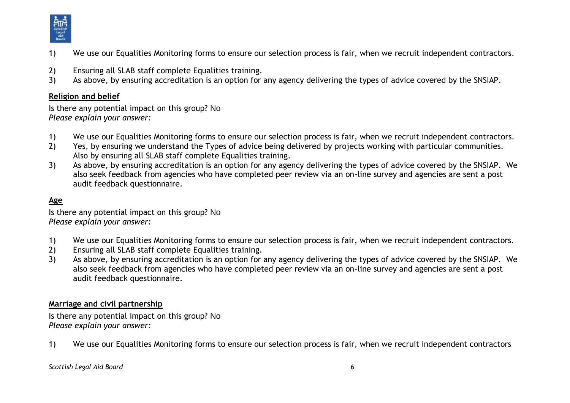

- 1) We use our Equalities Monitoring forms to ensure our selection process is fair, when we recruit independent contractors.
- 2) Ensuring all SLAB staff complete Equalities training.
- 3) As above, by ensuring accreditation is an option for any agency delivering the types of advice covered by the SNSIAP.

#### **Religion and belief**

Is there any potential impact on this group? No *Please explain your answer:*

- 1) We use our Equalities Monitoring forms to ensure our selection process is fair, when we recruit independent contractors.
- 2) Yes, by ensuring we understand the Types of advice being delivered by projects working with particular communities. Also by ensuring all SLAB staff complete Equalities training.
- 3) As above, by ensuring accreditation is an option for any agency delivering the types of advice covered by the SNSIAP. We also seek feedback from agencies who have completed peer review via an on-line survey and agencies are sent a post audit feedback questionnaire.

# **Age**

Is there any potential impact on this group? No *Please explain your answer:*

- 1) We use our Equalities Monitoring forms to ensure our selection process is fair, when we recruit independent contractors.
- 2) Ensuring all SLAB staff complete Equalities training.
- 3) As above, by ensuring accreditation is an option for any agency delivering the types of advice covered by the SNSIAP. We also seek feedback from agencies who have completed peer review via an on-line survey and agencies are sent a post audit feedback questionnaire.

### **Marriage and civil partnership**

Is there any potential impact on this group? No *Please explain your answer:*

1) We use our Equalities Monitoring forms to ensure our selection process is fair, when we recruit independent contractors

*Scottish Legal Aid Board* 6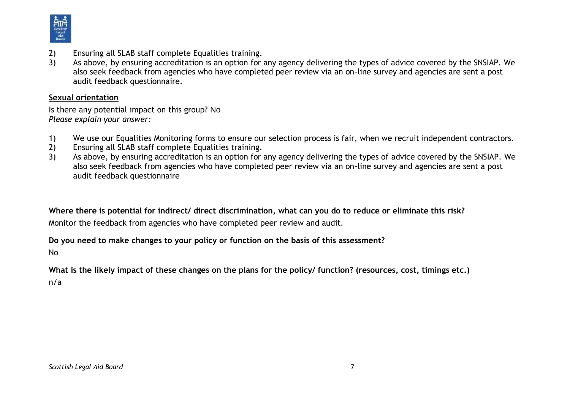

- 2) Ensuring all SLAB staff complete Equalities training.
- 3) As above, by ensuring accreditation is an option for any agency delivering the types of advice covered by the SNSIAP. We also seek feedback from agencies who have completed peer review via an on-line survey and agencies are sent a post audit feedback questionnaire.

#### **Sexual orientation**

Is there any potential impact on this group? No *Please explain your answer:*

- 1) We use our Equalities Monitoring forms to ensure our selection process is fair, when we recruit independent contractors.
- 2) Ensuring all SLAB staff complete Equalities training.
- 3) As above, by ensuring accreditation is an option for any agency delivering the types of advice covered by the SNSIAP. We also seek feedback from agencies who have completed peer review via an on-line survey and agencies are sent a post audit feedback questionnaire

**Where there is potential for indirect/ direct discrimination, what can you do to reduce or eliminate this risk?** Monitor the feedback from agencies who have completed peer review and audit.

#### **Do you need to make changes to your policy or function on the basis of this assessment?**

No

**What is the likely impact of these changes on the plans for the policy/ function? (resources, cost, timings etc.)** n/a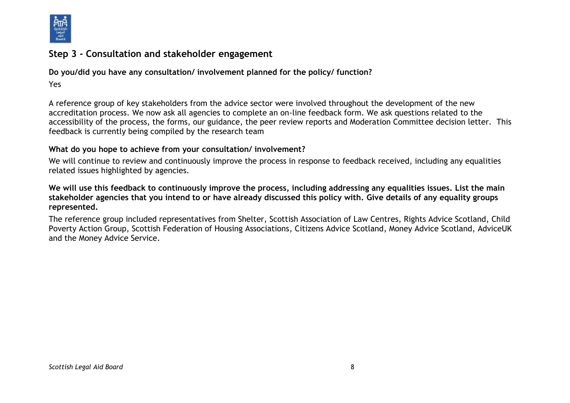

# **Step 3 - Consultation and stakeholder engagement**

**Do you/did you have any consultation/ involvement planned for the policy/ function?**

#### Yes

A reference group of key stakeholders from the advice sector were involved throughout the development of the new accreditation process. We now ask all agencies to complete an on-line feedback form. We ask questions related to the accessibility of the process, the forms, our guidance, the peer review reports and Moderation Committee decision letter. This feedback is currently being compiled by the research team

#### **What do you hope to achieve from your consultation/ involvement?**

We will continue to review and continuously improve the process in response to feedback received, including any equalities related issues highlighted by agencies.

#### **We will use this feedback to continuously improve the process, including addressing any equalities issues. List the main stakeholder agencies that you intend to or have already discussed this policy with. Give details of any equality groups represented.**

The reference group included representatives from Shelter, Scottish Association of Law Centres, Rights Advice Scotland, Child Poverty Action Group, Scottish Federation of Housing Associations, Citizens Advice Scotland, Money Advice Scotland, AdviceUK and the Money Advice Service.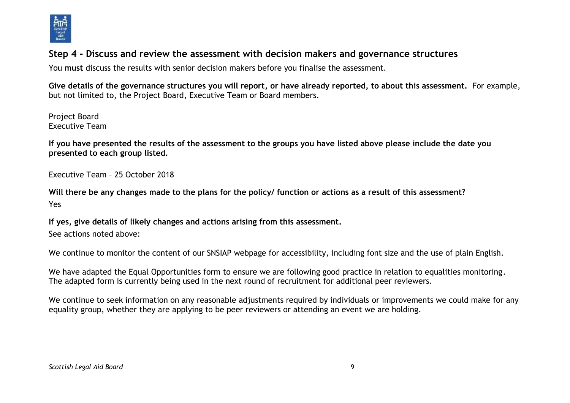

# **Step 4 - Discuss and review the assessment with decision makers and governance structures**

You **must** discuss the results with senior decision makers before you finalise the assessment.

**Give details of the governance structures you will report, or have already reported, to about this assessment.** For example, but not limited to, the Project Board, Executive Team or Board members.

Project Board Executive Team

**If you have presented the results of the assessment to the groups you have listed above please include the date you presented to each group listed.**

Executive Team – 25 October 2018

**Will there be any changes made to the plans for the policy/ function or actions as a result of this assessment?** Yes

**If yes, give details of likely changes and actions arising from this assessment.**

See actions noted above:

We continue to monitor the content of our SNSIAP webpage for accessibility, including font size and the use of plain English.

We have adapted the Equal Opportunities form to ensure we are following good practice in relation to equalities monitoring. The adapted form is currently being used in the next round of recruitment for additional peer reviewers.

We continue to seek information on any reasonable adjustments required by individuals or improvements we could make for any equality group, whether they are applying to be peer reviewers or attending an event we are holding.